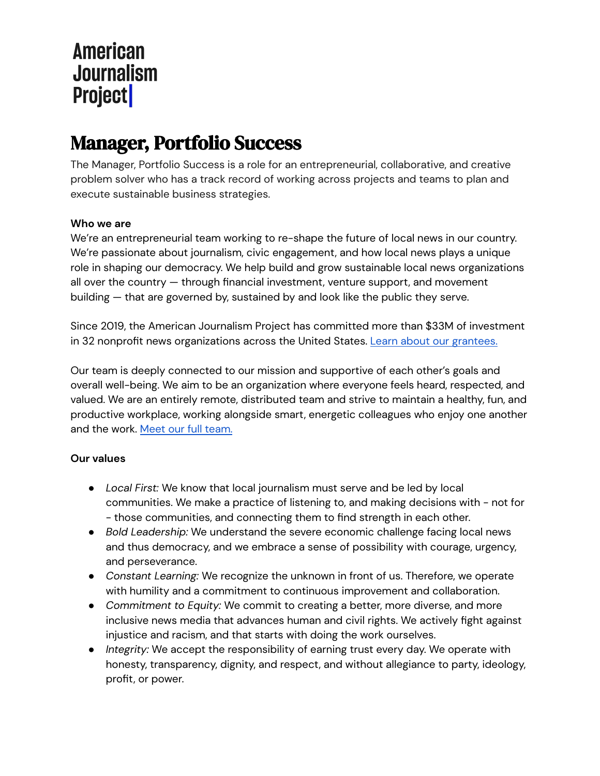# Manager, Portfolio Success

The Manager, Portfolio Success is a role for an entrepreneurial, collaborative, and creative problem solver who has a track record of working across projects and teams to plan and execute sustainable business strategies.

## **Who we are**

We're an entrepreneurial team working to re-shape the future of local news in our country. We're passionate about journalism, civic engagement, and how local news plays a unique role in shaping our democracy. We help build and grow sustainable local news organizations all over the country — through financial investment, venture support, and movement building — that are governed by, sustained by and look like the public they serve.

Since 2019, the American Journalism Project has committed more than \$33M of investment in 32 nonprofit news organizations across the United States. Learn about our [grantees.](https://www.theajp.org/our-portfolio/)

Our team is deeply connected to our mission and supportive of each other's goals and overall well-being. We aim to be an organization where everyone feels heard, respected, and valued. We are an entirely remote, distributed team and strive to maintain a healthy, fun, and productive workplace, working alongside smart, energetic colleagues who enjoy one another and the work. Meet our full [team.](http://www.theajp.org/team/)

## **Our values**

- *Local First:* We know that local journalism must serve and be led by local communities. We make a practice of listening to, and making decisions with - not for - those communities, and connecting them to find strength in each other.
- *Bold Leadership:* We understand the severe economic challenge facing local news and thus democracy, and we embrace a sense of possibility with courage, urgency, and perseverance.
- *Constant Learning:* We recognize the unknown in front of us. Therefore, we operate with humility and a commitment to continuous improvement and collaboration.
- *Commitment to Equity:* We commit to creating a better, more diverse, and more inclusive news media that advances human and civil rights. We actively fight against injustice and racism, and that starts with doing the work ourselves.
- *Integrity:* We accept the responsibility of earning trust every day. We operate with honesty, transparency, dignity, and respect, and without allegiance to party, ideology, profit, or power.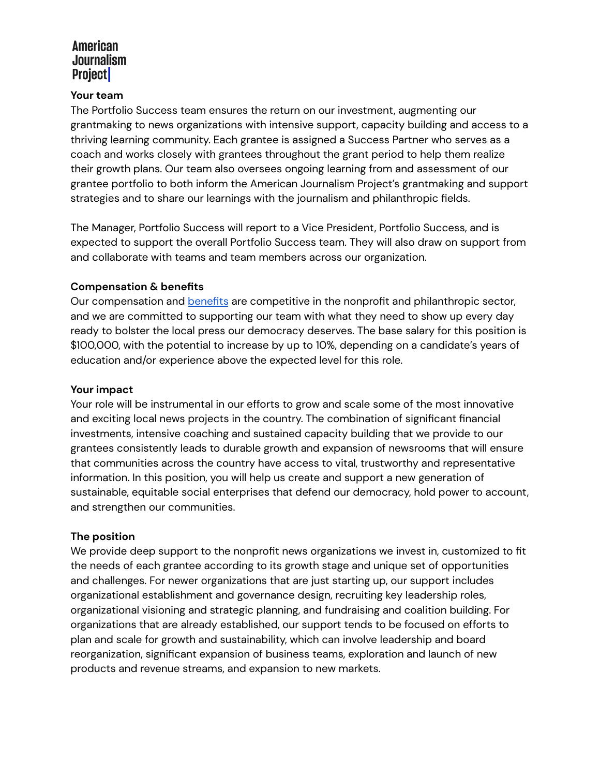#### **Your team**

The Portfolio Success team ensures the return on our investment, augmenting our grantmaking to news organizations with intensive support, capacity building and access to a thriving learning community. Each grantee is assigned a Success Partner who serves as a coach and works closely with grantees throughout the grant period to help them realize their growth plans. Our team also oversees ongoing learning from and assessment of our grantee portfolio to both inform the American Journalism Project's grantmaking and support strategies and to share our learnings with the journalism and philanthropic fields.

The Manager, Portfolio Success will report to a Vice President, Portfolio Success, and is expected to support the overall Portfolio Success team. They will also draw on support from and collaborate with teams and team members across our organization.

## **Compensation & benefits**

Our compensation and **[benefits](https://www.theajp.org/about/work-with-us/benefits/)** are competitive in the nonprofit and philanthropic sector, and we are committed to supporting our team with what they need to show up every day ready to bolster the local press our democracy deserves. The base salary for this position is \$100,000, with the potential to increase by up to 10%, depending on a candidate's years of education and/or experience above the expected level for this role.

#### **Your impact**

Your role will be instrumental in our efforts to grow and scale some of the most innovative and exciting local news projects in the country. The combination of significant financial investments, intensive coaching and sustained capacity building that we provide to our grantees consistently leads to durable growth and expansion of newsrooms that will ensure that communities across the country have access to vital, trustworthy and representative information. In this position, you will help us create and support a new generation of sustainable, equitable social enterprises that defend our democracy, hold power to account, and strengthen our communities.

## **The position**

We provide deep support to the nonprofit news organizations we invest in, customized to fit the needs of each grantee according to its growth stage and unique set of opportunities and challenges. For newer organizations that are just starting up, our support includes organizational establishment and governance design, recruiting key leadership roles, organizational visioning and strategic planning, and fundraising and coalition building. For organizations that are already established, our support tends to be focused on efforts to plan and scale for growth and sustainability, which can involve leadership and board reorganization, significant expansion of business teams, exploration and launch of new products and revenue streams, and expansion to new markets.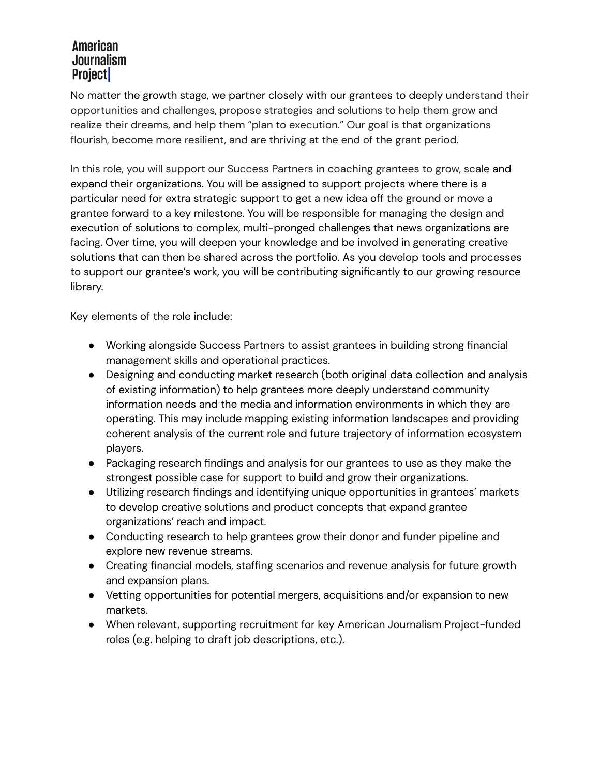No matter the growth stage, we partner closely with our grantees to deeply understand their opportunities and challenges, propose strategies and solutions to help them grow and realize their dreams, and help them "plan to execution." Our goal is that organizations flourish, become more resilient, and are thriving at the end of the grant period.

In this role, you will support our Success Partners in coaching grantees to grow, scale and expand their organizations. You will be assigned to support projects where there is a particular need for extra strategic support to get a new idea off the ground or move a grantee forward to a key milestone. You will be responsible for managing the design and execution of solutions to complex, multi-pronged challenges that news organizations are facing. Over time, you will deepen your knowledge and be involved in generating creative solutions that can then be shared across the portfolio. As you develop tools and processes to support our grantee's work, you will be contributing significantly to our growing resource library.

Key elements of the role include:

- Working alongside Success Partners to assist grantees in building strong financial management skills and operational practices.
- Designing and conducting market research (both original data collection and analysis of existing information) to help grantees more deeply understand community information needs and the media and information environments in which they are operating. This may include mapping existing information landscapes and providing coherent analysis of the current role and future trajectory of information ecosystem players.
- Packaging research findings and analysis for our grantees to use as they make the strongest possible case for support to build and grow their organizations.
- Utilizing research findings and identifying unique opportunities in grantees' markets to develop creative solutions and product concepts that expand grantee organizations' reach and impact.
- Conducting research to help grantees grow their donor and funder pipeline and explore new revenue streams.
- Creating financial models, staffing scenarios and revenue analysis for future growth and expansion plans.
- Vetting opportunities for potential mergers, acquisitions and/or expansion to new markets.
- When relevant, supporting recruitment for key American Journalism Project-funded roles (e.g. helping to draft job descriptions, etc.).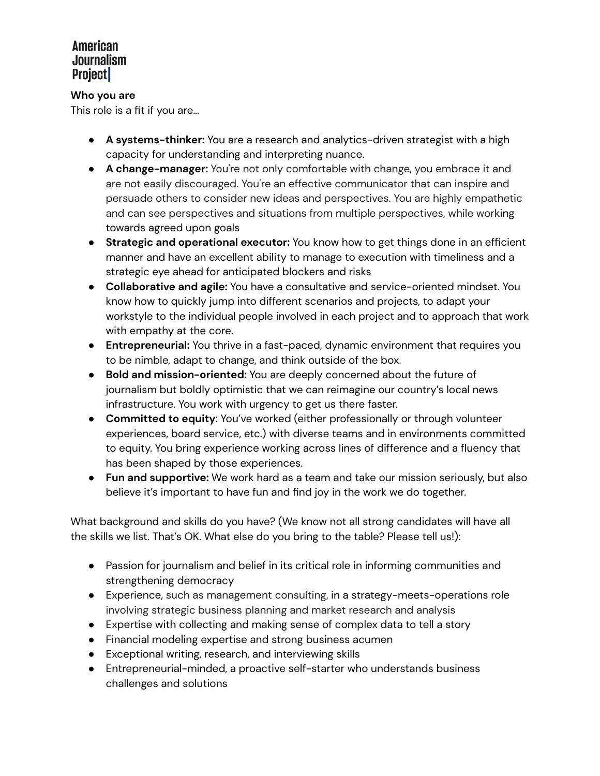### **Who you are**

This role is a fit if you are…

- **A systems-thinker:** You are a research and analytics-driven strategist with a high capacity for understanding and interpreting nuance.
- **● A change-manager:** You're not only comfortable with change, you embrace it and are not easily discouraged. You're an effective communicator that can inspire and persuade others to consider new ideas and perspectives. You are highly empathetic and can see perspectives and situations from multiple perspectives, while working towards agreed upon goals
- **● Strategic and operational executor:** You know how to get things done in an efficient manner and have an excellent ability to manage to execution with timeliness and a strategic eye ahead for anticipated blockers and risks
- **Collaborative and agile:** You have a consultative and service-oriented mindset. You know how to quickly jump into different scenarios and projects, to adapt your workstyle to the individual people involved in each project and to approach that work with empathy at the core.
- **Entrepreneurial:** You thrive in a fast-paced, dynamic environment that requires you to be nimble, adapt to change, and think outside of the box.
- **Bold and mission-oriented:** You are deeply concerned about the future of journalism but boldly optimistic that we can reimagine our country's local news infrastructure. You work with urgency to get us there faster.
- **● Committed to equity**: You've worked (either professionally or through volunteer experiences, board service, etc.) with diverse teams and in environments committed to equity. You bring experience working across lines of difference and a fluency that has been shaped by those experiences.
- **Fun and supportive:** We work hard as a team and take our mission seriously, but also believe it's important to have fun and find joy in the work we do together.

What background and skills do you have? (We know not all strong candidates will have all the skills we list. That's OK. What else do you bring to the table? Please tell us!):

- Passion for journalism and belief in its critical role in informing communities and strengthening democracy
- Experience, such as management consulting, in a strategy-meets-operations role involving strategic business planning and market research and analysis
- Expertise with collecting and making sense of complex data to tell a story
- Financial modeling expertise and strong business acumen
- Exceptional writing, research, and interviewing skills
- Entrepreneurial-minded, a proactive self-starter who understands business challenges and solutions